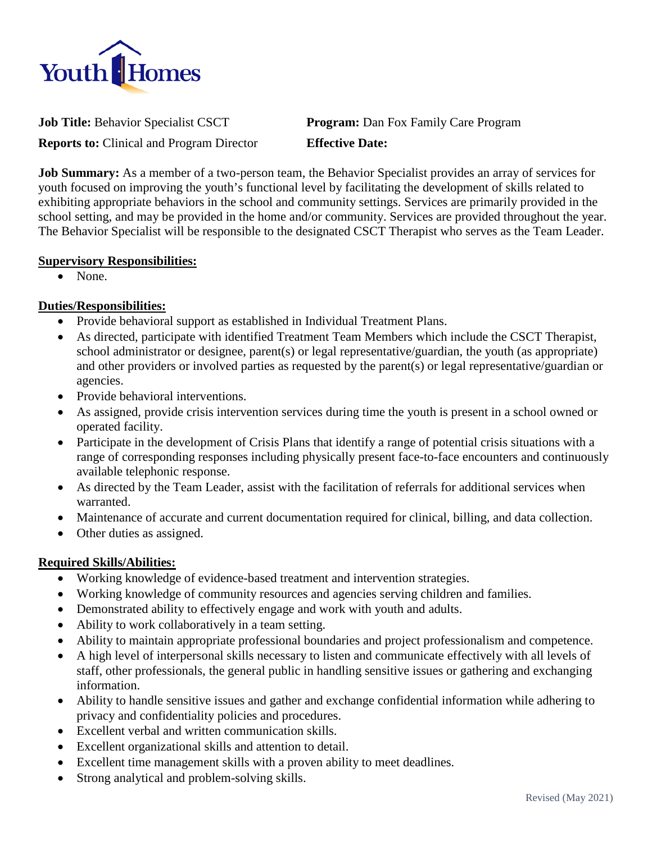

**Job Title:** Behavior Specialist CSCT **Program:** Dan Fox Family Care Program

**Reports to:** Clinical and Program Director **Effective Date:**

**Job Summary:** As a member of a two-person team, the Behavior Specialist provides an array of services for youth focused on improving the youth's functional level by facilitating the development of skills related to exhibiting appropriate behaviors in the school and community settings. Services are primarily provided in the school setting, and may be provided in the home and/or community. Services are provided throughout the year. The Behavior Specialist will be responsible to the designated CSCT Therapist who serves as the Team Leader.

#### **Supervisory Responsibilities:**

• None.

### **Duties/Responsibilities:**

- Provide behavioral support as established in Individual Treatment Plans.
- As directed, participate with identified Treatment Team Members which include the CSCT Therapist, school administrator or designee, parent(s) or legal representative/guardian, the youth (as appropriate) and other providers or involved parties as requested by the parent(s) or legal representative/guardian or agencies.
- Provide behavioral interventions.
- As assigned, provide crisis intervention services during time the youth is present in a school owned or operated facility.
- Participate in the development of Crisis Plans that identify a range of potential crisis situations with a range of corresponding responses including physically present face-to-face encounters and continuously available telephonic response.
- As directed by the Team Leader, assist with the facilitation of referrals for additional services when warranted.
- Maintenance of accurate and current documentation required for clinical, billing, and data collection.
- Other duties as assigned.

### **Required Skills/Abilities:**

- Working knowledge of evidence-based treatment and intervention strategies.
- Working knowledge of community resources and agencies serving children and families.
- Demonstrated ability to effectively engage and work with youth and adults.
- Ability to work collaboratively in a team setting.
- Ability to maintain appropriate professional boundaries and project professionalism and competence.
- A high level of interpersonal skills necessary to listen and communicate effectively with all levels of staff, other professionals, the general public in handling sensitive issues or gathering and exchanging information.
- Ability to handle sensitive issues and gather and exchange confidential information while adhering to privacy and confidentiality policies and procedures.
- Excellent verbal and written communication skills.
- Excellent organizational skills and attention to detail.
- Excellent time management skills with a proven ability to meet deadlines.
- Strong analytical and problem-solving skills.